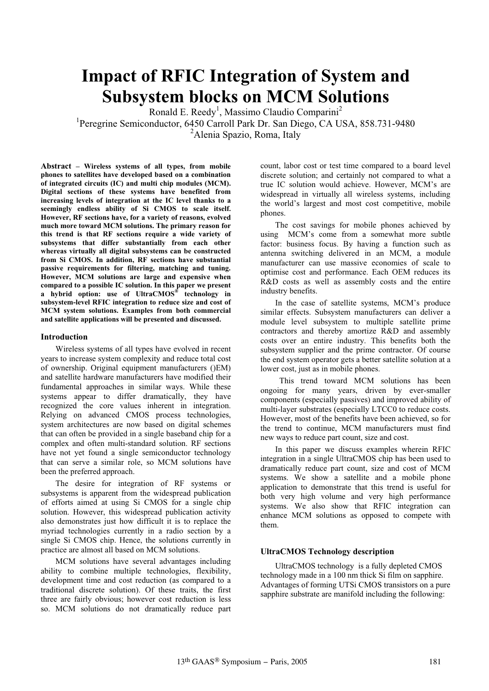# **Impact of RFIC Integration of System and Subsystem blocks on MCM Solutions**

Ronald E. Reedy<sup>1</sup>, Massimo Claudio Comparini<sup>2</sup>

<sup>1</sup>Peregrine Semiconductor, 6450 Carroll Park Dr. San Diego, CA USA, 858.731-9480 <sup>2</sup>Alenia Spazio, Roma, Italy

**Abstract – Wireless systems of all types, from mobile phones to satellites have developed based on a combination of integrated circuits (IC) and multi chip modules (MCM). Digital sections of these systems have benefited from increasing levels of integration at the IC level thanks to a seemingly endless ability of Si CMOS to scale itself. However, RF sections have, for a variety of reasons, evolved much more toward MCM solutions. The primary reason for this trend is that RF sections require a wide variety of subsystems that differ substantially from each other whereas virtually all digital subsystems can be constructed from Si CMOS. In addition, RF sections have substantial passive requirements for filtering, matching and tuning. However, MCM solutions are large and expensive when compared to a possible IC solution. In this paper we present a hybrid option: use of UltraCMOS® technology in subsystem-level RFIC integration to reduce size and cost of MCM system solutions. Examples from both commercial and satellite applications will be presented and discussed.**

#### **Introduction**

Wireless systems of all types have evolved in recent years to increase system complexity and reduce total cost of ownership. Original equipment manufacturers ()EM) and satellite hardware manufacturers have modified their fundamental approaches in similar ways. While these systems appear to differ dramatically, they have recognized the core values inherent in integration. Relying on advanced CMOS process technologies, system architectures are now based on digital schemes that can often be provided in a single baseband chip for a complex and often multi-standard solution. RF sections have not yet found a single semiconductor technology that can serve a similar role, so MCM solutions have been the preferred approach.

The desire for integration of RF systems or subsystems is apparent from the widespread publication of efforts aimed at using Si CMOS for a single chip solution. However, this widespread publication activity also demonstrates just how difficult it is to replace the myriad technologies currently in a radio section by a single Si CMOS chip. Hence, the solutions currently in practice are almost all based on MCM solutions.

MCM solutions have several advantages including ability to combine multiple technologies, flexibility, development time and cost reduction (as compared to a traditional discrete solution). Of these traits, the first three are fairly obvious; however cost reduction is less so. MCM solutions do not dramatically reduce part

count, labor cost or test time compared to a board level discrete solution; and certainly not compared to what a true IC solution would achieve. However, MCM's are widespread in virtually all wireless systems, including the world's largest and most cost competitive, mobile phones.

The cost savings for mobile phones achieved by using MCM's come from a somewhat more subtle factor: business focus. By having a function such as antenna switching delivered in an MCM, a module manufacturer can use massive economies of scale to optimise cost and performance. Each OEM reduces its R&D costs as well as assembly costs and the entire industry benefits.

In the case of satellite systems, MCM's produce similar effects. Subsystem manufacturers can deliver a module level subsystem to multiple satellite prime contractors and thereby amortize R&D and assembly costs over an entire industry. This benefits both the subsystem supplier and the prime contractor. Of course the end system operator gets a better satellite solution at a lower cost, just as in mobile phones.

 This trend toward MCM solutions has been ongoing for many years, driven by ever-smaller components (especially passives) and improved ability of multi-layer substrates (especially LTCC0 to reduce costs. However, most of the benefits have been achieved, so for the trend to continue, MCM manufacturers must find new ways to reduce part count, size and cost.

In this paper we discuss examples wherein RFIC integration in a single UltraCMOS chip has been used to dramatically reduce part count, size and cost of MCM systems. We show a satellite and a mobile phone application to demonstrate that this trend is useful for both very high volume and very high performance systems. We also show that RFIC integration can enhance MCM solutions as opposed to compete with them.

#### **UltraCMOS Technology description**

UltraCMOS technology is a fully depleted CMOS technology made in a 100 nm thick Si film on sapphire. Advantages of forming UTSi CMOS transistors on a pure sapphire substrate are manifold including the following: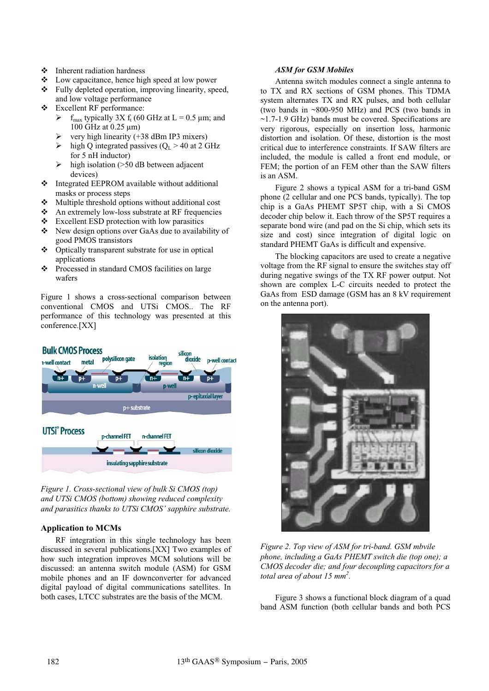- Inherent radiation hardness
- Low capacitance, hence high speed at low power
- Fully depleted operation, improving linearity, speed, and low voltage performance
- Excellent RF performance:
	- $\triangleright$  f<sub>max</sub> typically 3X f<sub>t</sub> (60 GHz at L = 0.5 µm; and 100 GHz at 0.25 µm)
	- ¾ very high linearity (+38 dBm IP3 mixers)
	- $\triangleright$  high Q integrated passives ( $Q_L > 40$  at 2 GHz for 5 nH inductor)
	- $\triangleright$  high isolation (>50 dB between adjacent devices)
- $\triangle$  Integrated EEPROM available without additional masks or process steps
- $\triangle$  Multiple threshold options without additional cost
- An extremely low-loss substrate at RF frequencies
- $\div$  Excellent ESD protection with low parasitics
- \* New design options over GaAs due to availability of good PMOS transistors
- Optically transparent substrate for use in optical applications
- Processed in standard CMOS facilities on large wafers

Figure 1 shows a cross-sectional comparison between conventional CMOS and UTSi CMOS.. The RF performance of this technology was presented at this conference.[XX]



*Figure 1. Cross-sectional view of bulk Si CMOS (top) and UTSi CMOS (bottom) showing reduced complexity and parasitics thanks to UTSi CMOS' sapphire substrate.* 

### **Application to MCMs**

RF integration in this single technology has been discussed in several publications.[XX] Two examples of how such integration improves MCM solutions will be discussed: an antenna switch module (ASM) for GSM mobile phones and an IF downconverter for advanced digital payload of digital communications satellites. In both cases, LTCC substrates are the basis of the MCM.

## *ASM for GSM Mobiles*

Antenna switch modules connect a single antenna to to TX and RX sections of GSM phones. This TDMA system alternates TX and RX pulses, and both cellular (two bands in ~800-950 MHz) and PCS (two bands in ~1.7-1.9 GHz) bands must be covered. Specifications are very rigorous, especially on insertion loss, harmonic distortion and isolation. Of these, distortion is the most critical due to interference constraints. If SAW filters are included, the module is called a front end module, or FEM; the portion of an FEM other than the SAW filters is an ASM.

Figure 2 shows a typical ASM for a tri-band GSM phone (2 cellular and one PCS bands, typically). The top chip is a GaAs PHEMT SP5T chip, with a Si CMOS decoder chip below it. Each throw of the SP5T requires a separate bond wire (and pad on the Si chip, which sets its size and cost) since integration of digital logic on standard PHEMT GaAs is difficult and expensive.

The blocking capacitors are used to create a negative voltage from the RF signal to ensure the switches stay off during negative swings of the TX RF power output. Not shown are complex L-C circuits needed to protect the GaAs from ESD damage (GSM has an 8 kV requirement on the antenna port).



*Figure 2. Top view of ASM for tri-band. GSM mbvile phone, including a GaAs PHEMT switch die (top one); a CMOS decoder die; and four decoupling capacitors for a total area of about 15 mm2 .*

Figure 3 shows a functional block diagram of a quad band ASM function (both cellular bands and both PCS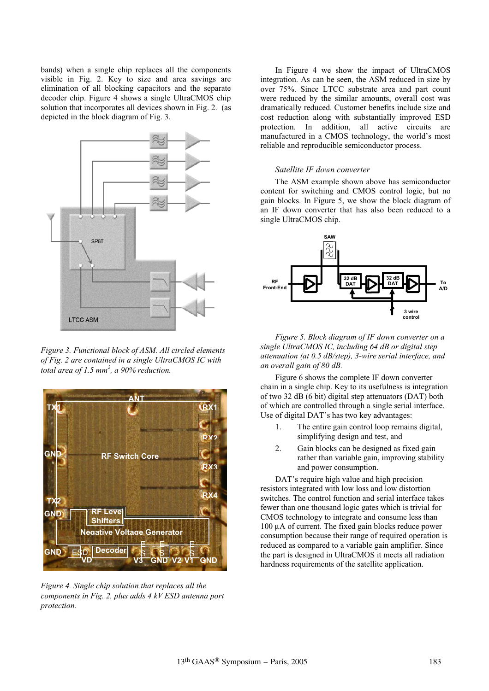bands) when a single chip replaces all the components visible in Fig. 2. Key to size and area savings are elimination of all blocking capacitors and the separate decoder chip. Figure 4 shows a single UltraCMOS chip solution that incorporates all devices shown in Fig. 2. (as depicted in the block diagram of Fig. 3.



*Figure 3. Functional block of ASM. All circled elements of Fig. 2 are contained in a single UltraCMOS IC with total area of 1.5 mm<sup>2</sup> , a 90% reduction.*



*Figure 4. Single chip solution that replaces all the components in Fig. 2, plus adds 4 kV ESD antenna port protection.* 

In Figure 4 we show the impact of UltraCMOS integration. As can be seen, the ASM reduced in size by over 75%. Since LTCC substrate area and part count were reduced by the similar amounts, overall cost was dramatically reduced. Customer benefits include size and cost reduction along with substantially improved ESD protection. In addition, all active circuits are manufactured in a CMOS technology, the world's most reliable and reproducible semiconductor process.

#### *Satellite IF down converter*

The ASM example shown above has semiconductor content for switching and CMOS control logic, but no gain blocks. In Figure 5, we show the block diagram of an IF down converter that has also been reduced to a single UltraCMOS chip.



*Figure 5. Block diagram of IF down converter on a single UltraCMOS IC, including 64 dB or digital step attenuation (at 0.5 dB/step), 3-wire serial interface, and an overall gain of 80 dB.* 

Figure 6 shows the complete IF down converter chain in a single chip. Key to its usefulness is integration of two 32 dB (6 bit) digital step attenuators (DAT) both of which are controlled through a single serial interface. Use of digital DAT's has two key advantages:

- 1. The entire gain control loop remains digital, simplifying design and test, and
- 2. Gain blocks can be designed as fixed gain rather than variable gain, improving stability and power consumption.

DAT's require high value and high precision resistors integrated with low loss and low distortion switches. The control function and serial interface takes fewer than one thousand logic gates which is trivial for CMOS technology to integrate and consume less than 100 µA of current. The fixed gain blocks reduce power consumption because their range of required operation is reduced as compared to a variable gain amplifier. Since the part is designed in UltraCMOS it meets all radiation hardness requirements of the satellite application.